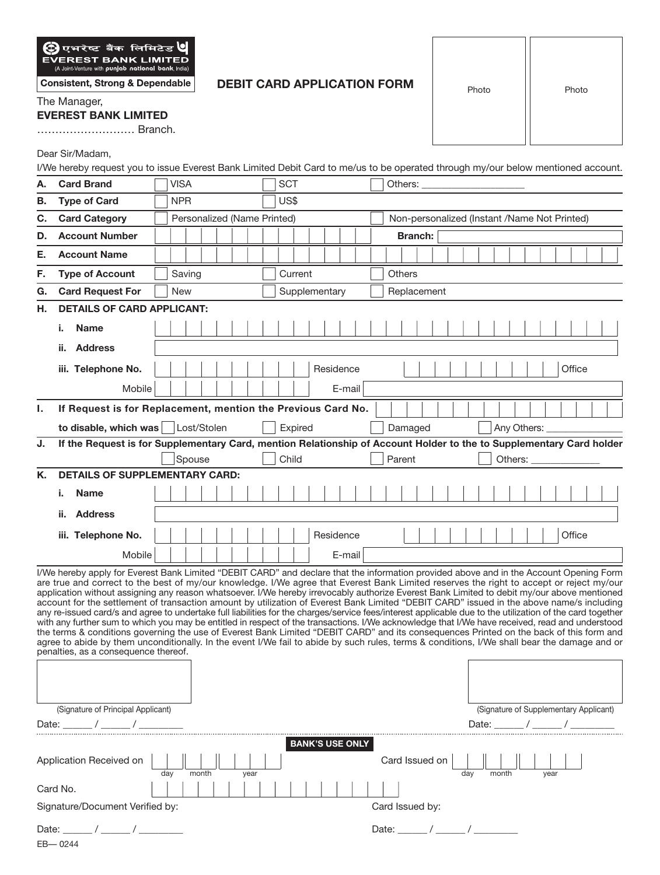

**Consistent, Strong & Dependable** 

## **DEBIT CARD APPLICATION FORM**

Photo | Photo

The Manager,

## **EVEREST BANK LIMITED**

……………………… Branch.

Dear Sir/Madam,

I/We hereby request you to issue Everest Bank Limited Debit Card to me/us to be operated through my/our below mentioned account.

| А.    | <b>Card Brand</b>                                                                                                                                                                                                                                                                                                                                                                                                                                                                                                                                                                                                                                                                                                                                                                                                                                                                                                                                                                                                                                                                                                                                                                                                                  |                             | <b>VISA</b>                                                                                                                             |        |  |  |      |  |  |  | <b>SCT</b> |                                              |        |             |                        |                |       | Others: |                                   |  |  |  |  |     |  |             |       |  |  |  |                  |  |                                        |  |  |  |
|-------|------------------------------------------------------------------------------------------------------------------------------------------------------------------------------------------------------------------------------------------------------------------------------------------------------------------------------------------------------------------------------------------------------------------------------------------------------------------------------------------------------------------------------------------------------------------------------------------------------------------------------------------------------------------------------------------------------------------------------------------------------------------------------------------------------------------------------------------------------------------------------------------------------------------------------------------------------------------------------------------------------------------------------------------------------------------------------------------------------------------------------------------------------------------------------------------------------------------------------------|-----------------------------|-----------------------------------------------------------------------------------------------------------------------------------------|--------|--|--|------|--|--|--|------------|----------------------------------------------|--------|-------------|------------------------|----------------|-------|---------|-----------------------------------|--|--|--|--|-----|--|-------------|-------|--|--|--|------------------|--|----------------------------------------|--|--|--|
| В.    | <b>Type of Card</b>                                                                                                                                                                                                                                                                                                                                                                                                                                                                                                                                                                                                                                                                                                                                                                                                                                                                                                                                                                                                                                                                                                                                                                                                                |                             | US\$<br><b>NPR</b>                                                                                                                      |        |  |  |      |  |  |  |            |                                              |        |             |                        |                |       |         |                                   |  |  |  |  |     |  |             |       |  |  |  |                  |  |                                        |  |  |  |
| C.    | <b>Card Category</b>                                                                                                                                                                                                                                                                                                                                                                                                                                                                                                                                                                                                                                                                                                                                                                                                                                                                                                                                                                                                                                                                                                                                                                                                               | Personalized (Name Printed) |                                                                                                                                         |        |  |  |      |  |  |  |            | Non-personalized (Instant /Name Not Printed) |        |             |                        |                |       |         |                                   |  |  |  |  |     |  |             |       |  |  |  |                  |  |                                        |  |  |  |
| D.    | <b>Account Number</b>                                                                                                                                                                                                                                                                                                                                                                                                                                                                                                                                                                                                                                                                                                                                                                                                                                                                                                                                                                                                                                                                                                                                                                                                              |                             |                                                                                                                                         |        |  |  |      |  |  |  |            |                                              |        |             |                        | <b>Branch:</b> |       |         |                                   |  |  |  |  |     |  |             |       |  |  |  |                  |  |                                        |  |  |  |
| Е.    | <b>Account Name</b>                                                                                                                                                                                                                                                                                                                                                                                                                                                                                                                                                                                                                                                                                                                                                                                                                                                                                                                                                                                                                                                                                                                                                                                                                |                             |                                                                                                                                         |        |  |  |      |  |  |  |            |                                              |        |             |                        |                |       |         |                                   |  |  |  |  |     |  |             |       |  |  |  |                  |  |                                        |  |  |  |
| F.    | <b>Type of Account</b>                                                                                                                                                                                                                                                                                                                                                                                                                                                                                                                                                                                                                                                                                                                                                                                                                                                                                                                                                                                                                                                                                                                                                                                                             |                             |                                                                                                                                         | Saving |  |  |      |  |  |  | Current    |                                              |        |             |                        |                |       |         | Others                            |  |  |  |  |     |  |             |       |  |  |  |                  |  |                                        |  |  |  |
| G.    | <b>Card Request For</b>                                                                                                                                                                                                                                                                                                                                                                                                                                                                                                                                                                                                                                                                                                                                                                                                                                                                                                                                                                                                                                                                                                                                                                                                            |                             | Supplementary<br><b>New</b>                                                                                                             |        |  |  |      |  |  |  |            |                                              |        | Replacement |                        |                |       |         |                                   |  |  |  |  |     |  |             |       |  |  |  |                  |  |                                        |  |  |  |
| Н.    | <b>DETAILS OF CARD APPLICANT:</b>                                                                                                                                                                                                                                                                                                                                                                                                                                                                                                                                                                                                                                                                                                                                                                                                                                                                                                                                                                                                                                                                                                                                                                                                  |                             |                                                                                                                                         |        |  |  |      |  |  |  |            |                                              |        |             |                        |                |       |         |                                   |  |  |  |  |     |  |             |       |  |  |  |                  |  |                                        |  |  |  |
|       | <b>Name</b><br>i.                                                                                                                                                                                                                                                                                                                                                                                                                                                                                                                                                                                                                                                                                                                                                                                                                                                                                                                                                                                                                                                                                                                                                                                                                  |                             |                                                                                                                                         |        |  |  |      |  |  |  |            |                                              |        |             |                        |                |       |         |                                   |  |  |  |  |     |  |             |       |  |  |  |                  |  |                                        |  |  |  |
|       | ii. Address                                                                                                                                                                                                                                                                                                                                                                                                                                                                                                                                                                                                                                                                                                                                                                                                                                                                                                                                                                                                                                                                                                                                                                                                                        |                             |                                                                                                                                         |        |  |  |      |  |  |  |            |                                              |        |             |                        |                |       |         |                                   |  |  |  |  |     |  |             |       |  |  |  |                  |  |                                        |  |  |  |
|       | iii. Telephone No.                                                                                                                                                                                                                                                                                                                                                                                                                                                                                                                                                                                                                                                                                                                                                                                                                                                                                                                                                                                                                                                                                                                                                                                                                 |                             |                                                                                                                                         |        |  |  |      |  |  |  |            |                                              |        |             | Residence              |                |       |         |                                   |  |  |  |  |     |  |             |       |  |  |  |                  |  | Office                                 |  |  |  |
|       | Mobile                                                                                                                                                                                                                                                                                                                                                                                                                                                                                                                                                                                                                                                                                                                                                                                                                                                                                                                                                                                                                                                                                                                                                                                                                             |                             |                                                                                                                                         |        |  |  |      |  |  |  |            |                                              |        |             | E-mail                 |                |       |         |                                   |  |  |  |  |     |  |             |       |  |  |  |                  |  |                                        |  |  |  |
|       |                                                                                                                                                                                                                                                                                                                                                                                                                                                                                                                                                                                                                                                                                                                                                                                                                                                                                                                                                                                                                                                                                                                                                                                                                                    |                             |                                                                                                                                         |        |  |  |      |  |  |  |            |                                              |        |             |                        |                |       |         |                                   |  |  |  |  |     |  |             |       |  |  |  |                  |  |                                        |  |  |  |
| L.    | If Request is for Replacement, mention the Previous Card No.                                                                                                                                                                                                                                                                                                                                                                                                                                                                                                                                                                                                                                                                                                                                                                                                                                                                                                                                                                                                                                                                                                                                                                       |                             |                                                                                                                                         |        |  |  |      |  |  |  |            |                                              |        |             |                        |                |       |         |                                   |  |  |  |  |     |  |             |       |  |  |  |                  |  |                                        |  |  |  |
|       | to disable, which was   Lost/Stolen                                                                                                                                                                                                                                                                                                                                                                                                                                                                                                                                                                                                                                                                                                                                                                                                                                                                                                                                                                                                                                                                                                                                                                                                |                             | Expired                                                                                                                                 |        |  |  |      |  |  |  |            |                                              |        |             |                        | Damaged        |       |         |                                   |  |  |  |  |     |  | Any Others: |       |  |  |  |                  |  |                                        |  |  |  |
| J.    |                                                                                                                                                                                                                                                                                                                                                                                                                                                                                                                                                                                                                                                                                                                                                                                                                                                                                                                                                                                                                                                                                                                                                                                                                                    |                             | If the Request is for Supplementary Card, mention Relationship of Account Holder to the to Supplementary Card holder<br>Spouse<br>Child |        |  |  |      |  |  |  |            |                                              | Parent |             |                        |                |       |         |                                   |  |  |  |  |     |  |             |       |  |  |  |                  |  |                                        |  |  |  |
| Κ.    | <b>DETAILS OF SUPPLEMENTARY CARD:</b>                                                                                                                                                                                                                                                                                                                                                                                                                                                                                                                                                                                                                                                                                                                                                                                                                                                                                                                                                                                                                                                                                                                                                                                              |                             |                                                                                                                                         |        |  |  |      |  |  |  |            |                                              |        |             |                        |                |       |         |                                   |  |  |  |  |     |  |             |       |  |  |  |                  |  |                                        |  |  |  |
|       | <b>Name</b><br>i.                                                                                                                                                                                                                                                                                                                                                                                                                                                                                                                                                                                                                                                                                                                                                                                                                                                                                                                                                                                                                                                                                                                                                                                                                  |                             |                                                                                                                                         |        |  |  |      |  |  |  |            |                                              |        |             |                        |                |       |         |                                   |  |  |  |  |     |  |             |       |  |  |  |                  |  |                                        |  |  |  |
|       | ii. Address                                                                                                                                                                                                                                                                                                                                                                                                                                                                                                                                                                                                                                                                                                                                                                                                                                                                                                                                                                                                                                                                                                                                                                                                                        |                             |                                                                                                                                         |        |  |  |      |  |  |  |            |                                              |        |             |                        |                |       |         |                                   |  |  |  |  |     |  |             |       |  |  |  |                  |  |                                        |  |  |  |
|       |                                                                                                                                                                                                                                                                                                                                                                                                                                                                                                                                                                                                                                                                                                                                                                                                                                                                                                                                                                                                                                                                                                                                                                                                                                    |                             |                                                                                                                                         |        |  |  |      |  |  |  |            |                                              |        |             |                        |                |       |         |                                   |  |  |  |  |     |  |             |       |  |  |  |                  |  |                                        |  |  |  |
|       | iii. Telephone No.                                                                                                                                                                                                                                                                                                                                                                                                                                                                                                                                                                                                                                                                                                                                                                                                                                                                                                                                                                                                                                                                                                                                                                                                                 |                             |                                                                                                                                         |        |  |  |      |  |  |  |            |                                              |        |             | Residence              |                |       |         |                                   |  |  |  |  |     |  |             |       |  |  |  |                  |  | Office                                 |  |  |  |
|       | Mobile                                                                                                                                                                                                                                                                                                                                                                                                                                                                                                                                                                                                                                                                                                                                                                                                                                                                                                                                                                                                                                                                                                                                                                                                                             |                             |                                                                                                                                         |        |  |  |      |  |  |  |            |                                              |        |             | E-mail                 |                |       |         |                                   |  |  |  |  |     |  |             |       |  |  |  |                  |  |                                        |  |  |  |
|       | I/We hereby apply for Everest Bank Limited "DEBIT CARD" and declare that the information provided above and in the Account Opening Form<br>are true and correct to the best of my/our knowledge. I/We agree that Everest Bank Limited reserves the right to accept or reject my/our<br>application without assigning any reason whatsoever. I/We hereby irrevocably authorize Everest Bank Limited to debit my/our above mentioned<br>account for the settlement of transaction amount by utilization of Everest Bank Limited "DEBIT CARD" issued in the above name/s including<br>any re-issued card/s and agree to undertake full liabilities for the charges/service fees/interest applicable due to the utilization of the card together<br>with any further sum to which you may be entitled in respect of the transactions. I/We acknowledge that I/We have received, read and understood<br>the terms & conditions governing the use of Everest Bank Limited "DEBIT CARD" and its consequences Printed on the back of this form and<br>agree to abide by them unconditionally. In the event I/We fail to abide by such rules, terms & conditions, I/We shall bear the damage and or<br>penalties, as a consequence thereof. |                             |                                                                                                                                         |        |  |  |      |  |  |  |            |                                              |        |             |                        |                |       |         |                                   |  |  |  |  |     |  |             |       |  |  |  |                  |  |                                        |  |  |  |
|       | (Signature of Principal Applicant)                                                                                                                                                                                                                                                                                                                                                                                                                                                                                                                                                                                                                                                                                                                                                                                                                                                                                                                                                                                                                                                                                                                                                                                                 |                             |                                                                                                                                         |        |  |  |      |  |  |  |            |                                              |        |             |                        |                |       |         |                                   |  |  |  |  |     |  |             |       |  |  |  |                  |  | (Signature of Supplementary Applicant) |  |  |  |
|       | Date: / / /                                                                                                                                                                                                                                                                                                                                                                                                                                                                                                                                                                                                                                                                                                                                                                                                                                                                                                                                                                                                                                                                                                                                                                                                                        |                             |                                                                                                                                         |        |  |  |      |  |  |  |            |                                              |        |             |                        |                |       |         |                                   |  |  |  |  |     |  |             |       |  |  |  | Date: $\angle$ / |  |                                        |  |  |  |
|       | Application Received on<br>Card No.<br>Signature/Document Verified by:                                                                                                                                                                                                                                                                                                                                                                                                                                                                                                                                                                                                                                                                                                                                                                                                                                                                                                                                                                                                                                                                                                                                                             | day                         |                                                                                                                                         | month  |  |  | year |  |  |  |            |                                              |        |             | <b>BANK'S USE ONLY</b> |                |       |         | Card Issued on<br>Card Issued by: |  |  |  |  | day |  |             | month |  |  |  | year             |  |                                        |  |  |  |
| Date: |                                                                                                                                                                                                                                                                                                                                                                                                                                                                                                                                                                                                                                                                                                                                                                                                                                                                                                                                                                                                                                                                                                                                                                                                                                    |                             |                                                                                                                                         |        |  |  |      |  |  |  |            |                                              |        |             |                        |                | Date: |         |                                   |  |  |  |  |     |  |             |       |  |  |  |                  |  |                                        |  |  |  |